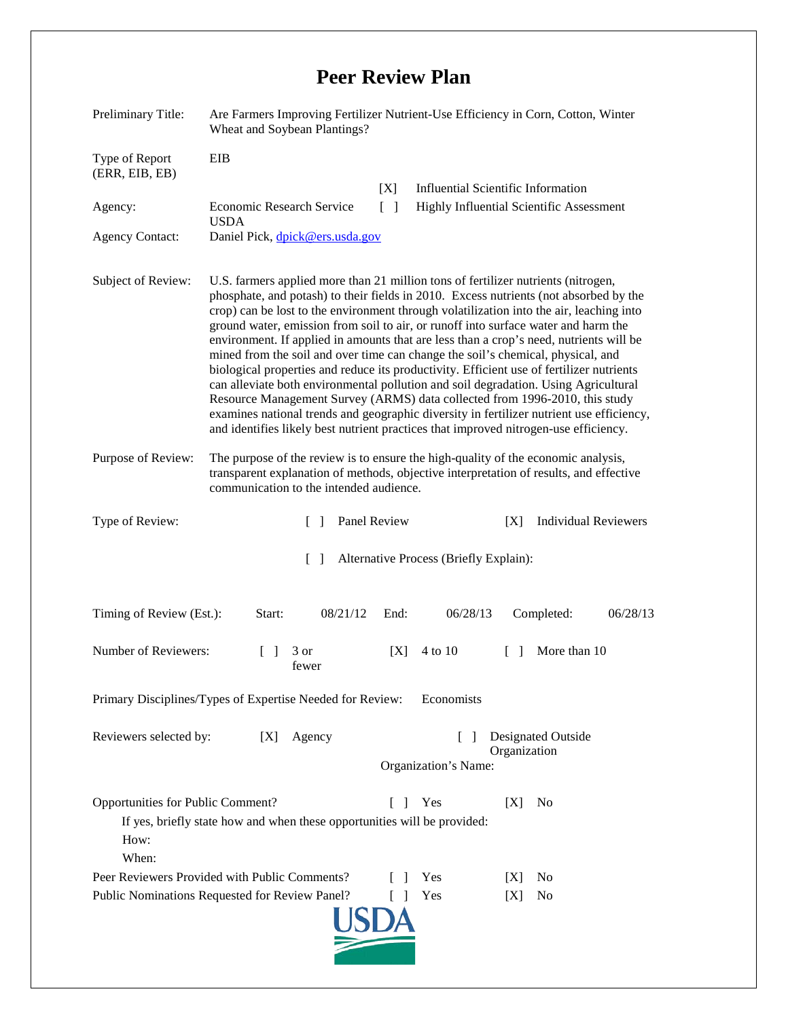## **Peer Review Plan**

| Preliminary Title:                                                                                                                                                       | Are Farmers Improving Fertilizer Nutrient-Use Efficiency in Corn, Cotton, Winter<br>Wheat and Soybean Plantings?                                                                                                                                                                                                                                                                                                                                                                                                                                                                                                                                                                                                                                                                                                                                                                                                                                                                               |                      |                                                                                       |
|--------------------------------------------------------------------------------------------------------------------------------------------------------------------------|------------------------------------------------------------------------------------------------------------------------------------------------------------------------------------------------------------------------------------------------------------------------------------------------------------------------------------------------------------------------------------------------------------------------------------------------------------------------------------------------------------------------------------------------------------------------------------------------------------------------------------------------------------------------------------------------------------------------------------------------------------------------------------------------------------------------------------------------------------------------------------------------------------------------------------------------------------------------------------------------|----------------------|---------------------------------------------------------------------------------------|
| Type of Report<br>(ERR, EIB, EB)                                                                                                                                         | EIB                                                                                                                                                                                                                                                                                                                                                                                                                                                                                                                                                                                                                                                                                                                                                                                                                                                                                                                                                                                            |                      |                                                                                       |
| Agency:                                                                                                                                                                  | Economic Research Service                                                                                                                                                                                                                                                                                                                                                                                                                                                                                                                                                                                                                                                                                                                                                                                                                                                                                                                                                                      | [X]<br>$\Box$        | <b>Influential Scientific Information</b><br>Highly Influential Scientific Assessment |
| <b>Agency Contact:</b>                                                                                                                                                   | <b>USDA</b><br>Daniel Pick, dpick@ers.usda.gov                                                                                                                                                                                                                                                                                                                                                                                                                                                                                                                                                                                                                                                                                                                                                                                                                                                                                                                                                 |                      |                                                                                       |
| Subject of Review:                                                                                                                                                       | U.S. farmers applied more than 21 million tons of fertilizer nutrients (nitrogen,<br>phosphate, and potash) to their fields in 2010. Excess nutrients (not absorbed by the<br>crop) can be lost to the environment through volatilization into the air, leaching into<br>ground water, emission from soil to air, or runoff into surface water and harm the<br>environment. If applied in amounts that are less than a crop's need, nutrients will be<br>mined from the soil and over time can change the soil's chemical, physical, and<br>biological properties and reduce its productivity. Efficient use of fertilizer nutrients<br>can alleviate both environmental pollution and soil degradation. Using Agricultural<br>Resource Management Survey (ARMS) data collected from 1996-2010, this study<br>examines national trends and geographic diversity in fertilizer nutrient use efficiency,<br>and identifies likely best nutrient practices that improved nitrogen-use efficiency. |                      |                                                                                       |
| Purpose of Review:                                                                                                                                                       | The purpose of the review is to ensure the high-quality of the economic analysis,<br>transparent explanation of methods, objective interpretation of results, and effective<br>communication to the intended audience.                                                                                                                                                                                                                                                                                                                                                                                                                                                                                                                                                                                                                                                                                                                                                                         |                      |                                                                                       |
| Type of Review:                                                                                                                                                          | Panel Review<br>$\mathbf{L}$                                                                                                                                                                                                                                                                                                                                                                                                                                                                                                                                                                                                                                                                                                                                                                                                                                                                                                                                                                   |                      | <b>Individual Reviewers</b><br>[X]                                                    |
| Alternative Process (Briefly Explain):<br>$\Box$                                                                                                                         |                                                                                                                                                                                                                                                                                                                                                                                                                                                                                                                                                                                                                                                                                                                                                                                                                                                                                                                                                                                                |                      |                                                                                       |
| Timing of Review (Est.):                                                                                                                                                 | Start:<br>08/21/12                                                                                                                                                                                                                                                                                                                                                                                                                                                                                                                                                                                                                                                                                                                                                                                                                                                                                                                                                                             | 06/28/13<br>End:     | 06/28/13<br>Completed:                                                                |
| Number of Reviewers:                                                                                                                                                     | 3 or<br>$\mathbf{L}$<br>fewer                                                                                                                                                                                                                                                                                                                                                                                                                                                                                                                                                                                                                                                                                                                                                                                                                                                                                                                                                                  | 4 to 10<br>[X]       | More than 10<br>$\Box$                                                                |
| Primary Disciplines/Types of Expertise Needed for Review:<br>Economists                                                                                                  |                                                                                                                                                                                                                                                                                                                                                                                                                                                                                                                                                                                                                                                                                                                                                                                                                                                                                                                                                                                                |                      |                                                                                       |
| Reviewers selected by:                                                                                                                                                   | Agency<br>[X]                                                                                                                                                                                                                                                                                                                                                                                                                                                                                                                                                                                                                                                                                                                                                                                                                                                                                                                                                                                  | Organization's Name: | <b>Designated Outside</b><br>Organization                                             |
| Opportunities for Public Comment?<br>Yes<br>N <sub>0</sub><br>[X]<br>$\Box$<br>If yes, briefly state how and when these opportunities will be provided:<br>How:<br>When: |                                                                                                                                                                                                                                                                                                                                                                                                                                                                                                                                                                                                                                                                                                                                                                                                                                                                                                                                                                                                |                      |                                                                                       |
|                                                                                                                                                                          | Peer Reviewers Provided with Public Comments?                                                                                                                                                                                                                                                                                                                                                                                                                                                                                                                                                                                                                                                                                                                                                                                                                                                                                                                                                  | Yes                  | N <sub>0</sub><br>IXI                                                                 |
| Public Nominations Requested for Review Panel?<br>Yes<br>No<br>[X]                                                                                                       |                                                                                                                                                                                                                                                                                                                                                                                                                                                                                                                                                                                                                                                                                                                                                                                                                                                                                                                                                                                                |                      |                                                                                       |